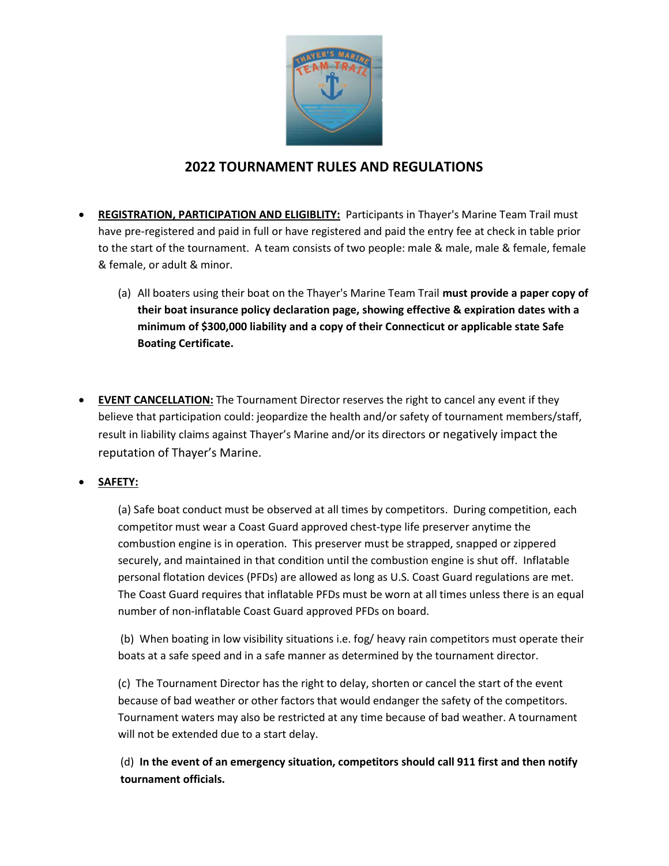

## 2022 TOURNAMENT RULES AND REGULATIONS

- REGISTRATION, PARTICIPATION AND ELIGIBLITY: Participants in Thayer's Marine Team Trail must have pre-registered and paid in full or have registered and paid the entry fee at check in table prior to the start of the tournament. A team consists of two people: male & male, male & female, female & female, or adult & minor.
	- (a) All boaters using their boat on the Thayer's Marine Team Trail must provide a paper copy of their boat insurance policy declaration page, showing effective & expiration dates with a minimum of \$300,000 liability and a copy of their Connecticut or applicable state Safe Boating Certificate.
- EVENT CANCELLATION: The Tournament Director reserves the right to cancel any event if they believe that participation could: jeopardize the health and/or safety of tournament members/staff, result in liability claims against Thayer's Marine and/or its directors or negatively impact the reputation of Thayer's Marine.
- SAFETY:

(a) Safe boat conduct must be observed at all times by competitors. During competition, each competitor must wear a Coast Guard approved chest-type life preserver anytime the combustion engine is in operation. This preserver must be strapped, snapped or zippered securely, and maintained in that condition until the combustion engine is shut off. Inflatable personal flotation devices (PFDs) are allowed as long as U.S. Coast Guard regulations are met. The Coast Guard requires that inflatable PFDs must be worn at all times unless there is an equal number of non-inflatable Coast Guard approved PFDs on board.

(b) When boating in low visibility situations i.e. fog/ heavy rain competitors must operate their boats at a safe speed and in a safe manner as determined by the tournament director.

(c) The Tournament Director has the right to delay, shorten or cancel the start of the event because of bad weather or other factors that would endanger the safety of the competitors. Tournament waters may also be restricted at any time because of bad weather. A tournament will not be extended due to a start delay.

(d) In the event of an emergency situation, competitors should call 911 first and then notify tournament officials.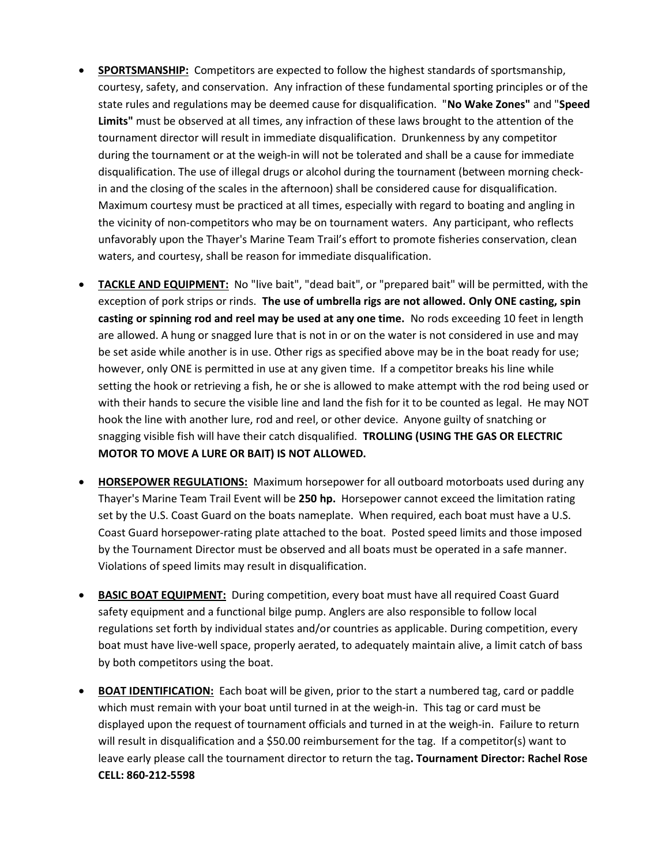- **SPORTSMANSHIP:** Competitors are expected to follow the highest standards of sportsmanship, courtesy, safety, and conservation. Any infraction of these fundamental sporting principles or of the state rules and regulations may be deemed cause for disqualification. "No Wake Zones" and "Speed Limits" must be observed at all times, any infraction of these laws brought to the attention of the tournament director will result in immediate disqualification. Drunkenness by any competitor during the tournament or at the weigh-in will not be tolerated and shall be a cause for immediate disqualification. The use of illegal drugs or alcohol during the tournament (between morning checkin and the closing of the scales in the afternoon) shall be considered cause for disqualification. Maximum courtesy must be practiced at all times, especially with regard to boating and angling in the vicinity of non-competitors who may be on tournament waters. Any participant, who reflects unfavorably upon the Thayer's Marine Team Trail's effort to promote fisheries conservation, clean waters, and courtesy, shall be reason for immediate disqualification.
- TACKLE AND EQUIPMENT: No "live bait", "dead bait", or "prepared bait" will be permitted, with the exception of pork strips or rinds. The use of umbrella rigs are not allowed. Only ONE casting, spin casting or spinning rod and reel may be used at any one time. No rods exceeding 10 feet in length are allowed. A hung or snagged lure that is not in or on the water is not considered in use and may be set aside while another is in use. Other rigs as specified above may be in the boat ready for use; however, only ONE is permitted in use at any given time. If a competitor breaks his line while setting the hook or retrieving a fish, he or she is allowed to make attempt with the rod being used or with their hands to secure the visible line and land the fish for it to be counted as legal. He may NOT hook the line with another lure, rod and reel, or other device. Anyone guilty of snatching or snagging visible fish will have their catch disqualified. TROLLING (USING THE GAS OR ELECTRIC MOTOR TO MOVE A LURE OR BAIT) IS NOT ALLOWED.
- HORSEPOWER REGULATIONS: Maximum horsepower for all outboard motorboats used during any Thayer's Marine Team Trail Event will be 250 hp. Horsepower cannot exceed the limitation rating set by the U.S. Coast Guard on the boats nameplate. When required, each boat must have a U.S. Coast Guard horsepower-rating plate attached to the boat. Posted speed limits and those imposed by the Tournament Director must be observed and all boats must be operated in a safe manner. Violations of speed limits may result in disqualification.
- BASIC BOAT EQUIPMENT: During competition, every boat must have all required Coast Guard safety equipment and a functional bilge pump. Anglers are also responsible to follow local regulations set forth by individual states and/or countries as applicable. During competition, every boat must have live-well space, properly aerated, to adequately maintain alive, a limit catch of bass by both competitors using the boat.
- BOAT IDENTIFICATION: Each boat will be given, prior to the start a numbered tag, card or paddle which must remain with your boat until turned in at the weigh-in. This tag or card must be displayed upon the request of tournament officials and turned in at the weigh-in. Failure to return will result in disqualification and a \$50.00 reimbursement for the tag. If a competitor(s) want to leave early please call the tournament director to return the tag. Tournament Director: Rachel Rose CELL: 860-212-5598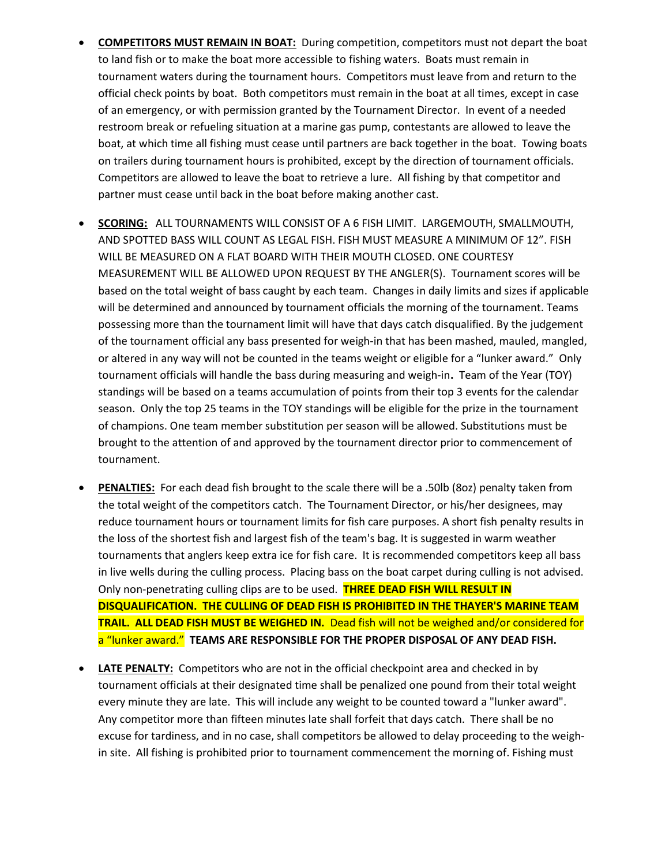- COMPETITORS MUST REMAIN IN BOAT: During competition, competitors must not depart the boat to land fish or to make the boat more accessible to fishing waters. Boats must remain in tournament waters during the tournament hours. Competitors must leave from and return to the official check points by boat. Both competitors must remain in the boat at all times, except in case of an emergency, or with permission granted by the Tournament Director. In event of a needed restroom break or refueling situation at a marine gas pump, contestants are allowed to leave the boat, at which time all fishing must cease until partners are back together in the boat. Towing boats on trailers during tournament hours is prohibited, except by the direction of tournament officials. Competitors are allowed to leave the boat to retrieve a lure. All fishing by that competitor and partner must cease until back in the boat before making another cast.
- SCORING: ALL TOURNAMENTS WILL CONSIST OF A 6 FISH LIMIT. LARGEMOUTH, SMALLMOUTH, AND SPOTTED BASS WILL COUNT AS LEGAL FISH. FISH MUST MEASURE A MINIMUM OF 12". FISH WILL BE MEASURED ON A FLAT BOARD WITH THEIR MOUTH CLOSED. ONE COURTESY MEASUREMENT WILL BE ALLOWED UPON REQUEST BY THE ANGLER(S). Tournament scores will be based on the total weight of bass caught by each team. Changes in daily limits and sizes if applicable will be determined and announced by tournament officials the morning of the tournament. Teams possessing more than the tournament limit will have that days catch disqualified. By the judgement of the tournament official any bass presented for weigh-in that has been mashed, mauled, mangled, or altered in any way will not be counted in the teams weight or eligible for a "lunker award." Only tournament officials will handle the bass during measuring and weigh-in. Team of the Year (TOY) standings will be based on a teams accumulation of points from their top 3 events for the calendar season. Only the top 25 teams in the TOY standings will be eligible for the prize in the tournament of champions. One team member substitution per season will be allowed. Substitutions must be brought to the attention of and approved by the tournament director prior to commencement of tournament.
- PENALTIES: For each dead fish brought to the scale there will be a .50lb (8oz) penalty taken from the total weight of the competitors catch. The Tournament Director, or his/her designees, may reduce tournament hours or tournament limits for fish care purposes. A short fish penalty results in the loss of the shortest fish and largest fish of the team's bag. It is suggested in warm weather tournaments that anglers keep extra ice for fish care. It is recommended competitors keep all bass in live wells during the culling process. Placing bass on the boat carpet during culling is not advised. Only non-penetrating culling clips are to be used. THREE DEAD FISH WILL RESULT IN DISQUALIFICATION. THE CULLING OF DEAD FISH IS PROHIBITED IN THE THAYER'S MARINE TEAM TRAIL. ALL DEAD FISH MUST BE WEIGHED IN. Dead fish will not be weighed and/or considered for a "lunker award." TEAMS ARE RESPONSIBLE FOR THE PROPER DISPOSAL OF ANY DEAD FISH.
- LATE PENALTY: Competitors who are not in the official checkpoint area and checked in by tournament officials at their designated time shall be penalized one pound from their total weight every minute they are late. This will include any weight to be counted toward a "lunker award". Any competitor more than fifteen minutes late shall forfeit that days catch. There shall be no excuse for tardiness, and in no case, shall competitors be allowed to delay proceeding to the weighin site. All fishing is prohibited prior to tournament commencement the morning of. Fishing must